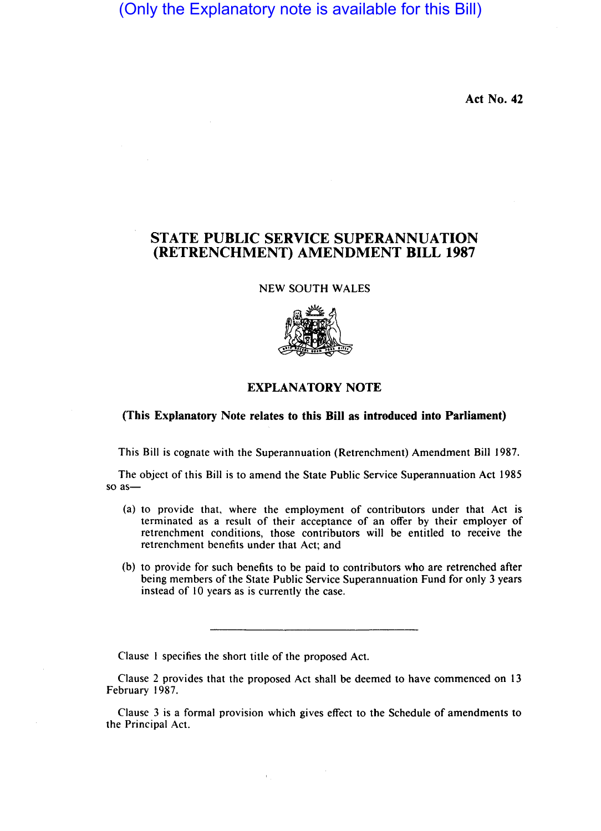(Only the Explanatory note is available for this Bill)

Act No. 42

## STATE PUBLIC SERVICE SUPERANNUATION (RETRENCHMENT) AMENDMENT BILL 1987

NEW SOUTH WALES



## EXPLANATORY NOTE

## (This Explanatory Note relates to this Bill as introduced into Parliament)

This Bill is cognate with the Superannuation (Retrenchment) Amendment Bill 1987.

The object of this Bill is to amend the State Public Service Superannuation Act 1985 so as-

- (a) to provide that, where the employment of contributors under that Act is terminated as a result of their acceptance of an offer by their employer of retrenchment conditions, those contributors will be entitled to receive the retrenchment benefits under that Act; and
- (b) to provide for such benefits to be paid to contributors who are retrenched after being members of the State Public Service Superannuation Fund for only 3 years instead of 10 years as is currently the case.

Clause I specifies the short title of the proposed Act.

Clause 2 provides that the proposed Act shall be deemed to have commenced on 13 February 1987.

Clause 3 is a formal provision which gives effect to the Schedule of amendments to the Principal Act.